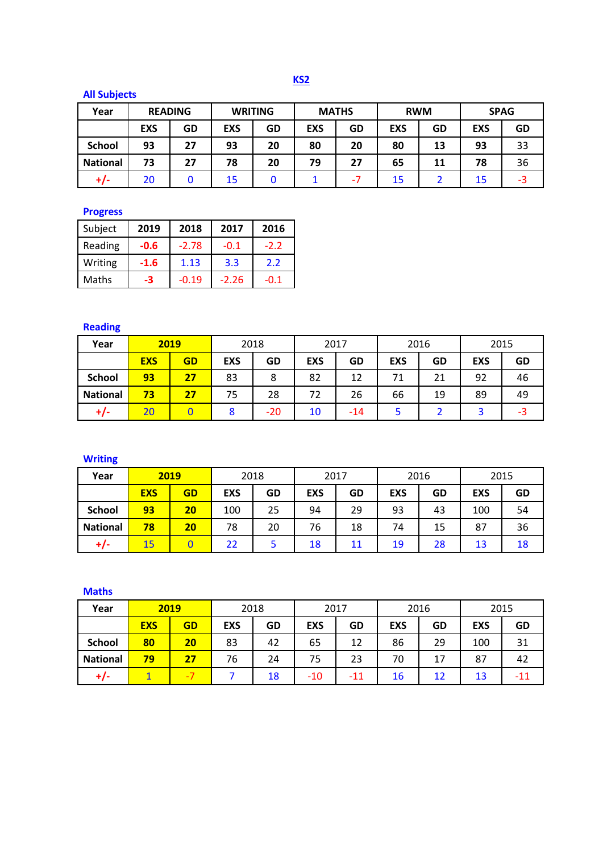**KS2**

# **All Subjects**

| Year            | <b>READING</b> |    | <b>WRITING</b> |    | <b>MATHS</b> |     | <b>RWM</b> |    | <b>SPAG</b> |    |
|-----------------|----------------|----|----------------|----|--------------|-----|------------|----|-------------|----|
|                 | <b>EXS</b>     | GD | <b>EXS</b>     | GD | <b>EXS</b>   | GD  | <b>EXS</b> | GD | <b>EXS</b>  | GD |
| <b>School</b>   | 93             | 27 | 93             | 20 | 80           | 20  | 80         | 13 | 93          | 33 |
| <b>National</b> | 73             | 27 | 78             | 20 | 79           | 27  | 65         | 11 | 78          | 36 |
| +/-             | 20             | 0  | 15             |    |              | - 1 | 15         |    |             | -3 |

#### **Progress**

| Subject | 2019   | 2018    | 2017    | 2016   |
|---------|--------|---------|---------|--------|
| Reading | $-0.6$ | $-2.78$ | $-0.1$  | $-2.2$ |
| Writing | $-1.6$ | 1.13    | 3.3     | 2.2    |
| Maths   | -3     | $-0.19$ | $-2.26$ | $-0.1$ |

## **Reading**

| Year            | 2019       |    | 2018       |       | 2017       |       | 2016       |    | 2015       |    |
|-----------------|------------|----|------------|-------|------------|-------|------------|----|------------|----|
|                 | <b>EXS</b> | GD | <b>EXS</b> | GD    | <b>EXS</b> | GD    | <b>EXS</b> | GD | <b>EXS</b> | GD |
| <b>School</b>   | 93         | 27 | 83         | 8     | 82         | 12    | 71         | 21 | 92         | 46 |
| <b>National</b> | 73         | 27 | 75         | 28    | 72         | 26    | 66         | 19 | 89         | 49 |
| $+/-$           | 20         |    |            | $-20$ | 10         | $-14$ |            |    |            | -3 |

## **Writing**

| Year            | 2019       |    | 2018       |    | 2017       |    | 2016       |    | 2015       |    |
|-----------------|------------|----|------------|----|------------|----|------------|----|------------|----|
|                 | <b>EXS</b> | GD | <b>EXS</b> | GD | <b>EXS</b> | GD | <b>EXS</b> | GD | <b>EXS</b> | GD |
| <b>School</b>   | 93         | 20 | 100        | 25 | 94         | 29 | 93         | 43 | 100        | 54 |
| <b>National</b> | 78         | 20 | 78         | 20 | 76         | 18 | 74         | 15 | 87         | 36 |
| +/-             | 15         |    | 22         |    | 18         | 11 | 19         | 28 | 13         | 18 |

#### **Maths**

| Year            | 2019       |    | 2018       |    | 2017       |     | 2016       |    | 2015       |     |
|-----------------|------------|----|------------|----|------------|-----|------------|----|------------|-----|
|                 | <b>EXS</b> | GD | <b>EXS</b> | GD | <b>EXS</b> | GD  | <b>EXS</b> | GD | <b>EXS</b> | GD  |
| <b>School</b>   | 80         | 20 | 83         | 42 | 65         | 12  | 86         | 29 | 100        | 31  |
| <b>National</b> | 79         | 27 | 76         | 24 | 75         | 23  | 70         | 17 | 87         | 42  |
|                 |            | -7 |            | 18 | $-10$      | -11 | 16         | 12 | 13         | -11 |